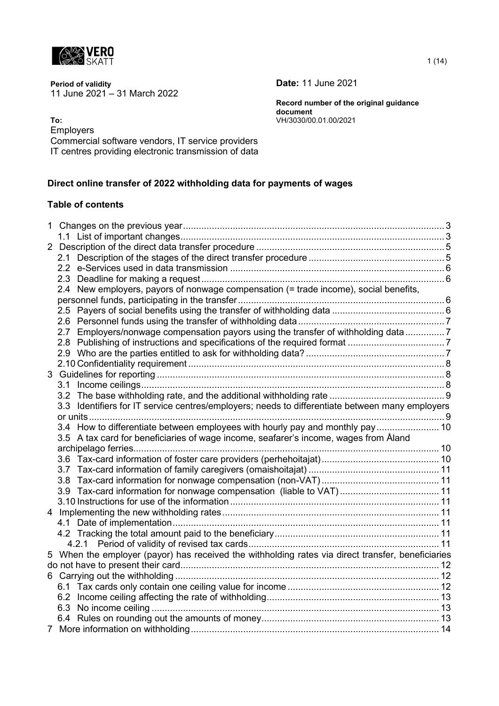

**Period of validity Date:** 11 June 2021 11 June 2021 – 31 March 2022

**Record number of the original guidance document To:** VH/3030/00.01.00/2021

Employers

Commercial software vendors, IT service providers IT centres providing electronic transmission of data

## **Direct online transfer of 2022 withholding data for payments of wages**

#### **Table of contents**

|  | 2.4 New employers, payors of nonwage compensation (= trade income), social benefits,              |  |
|--|---------------------------------------------------------------------------------------------------|--|
|  |                                                                                                   |  |
|  |                                                                                                   |  |
|  |                                                                                                   |  |
|  | 2.7 Employers/nonwage compensation payors using the transfer of withholding data7                 |  |
|  |                                                                                                   |  |
|  |                                                                                                   |  |
|  |                                                                                                   |  |
|  |                                                                                                   |  |
|  |                                                                                                   |  |
|  |                                                                                                   |  |
|  | 3.3 Identifiers for IT service centres/employers; needs to differentiate between many employers   |  |
|  |                                                                                                   |  |
|  | 3.4 How to differentiate between employees with hourly pay and monthly pay  10                    |  |
|  | 3.5 A tax card for beneficiaries of wage income, seafarer's income, wages from Åland              |  |
|  |                                                                                                   |  |
|  |                                                                                                   |  |
|  |                                                                                                   |  |
|  |                                                                                                   |  |
|  | 3.9 Tax-card information for nonwage compensation (liable to VAT) 11                              |  |
|  |                                                                                                   |  |
|  |                                                                                                   |  |
|  |                                                                                                   |  |
|  |                                                                                                   |  |
|  |                                                                                                   |  |
|  | 5 When the employer (payor) has received the withholding rates via direct transfer, beneficiaries |  |
|  |                                                                                                   |  |
|  |                                                                                                   |  |
|  |                                                                                                   |  |
|  |                                                                                                   |  |
|  |                                                                                                   |  |
|  |                                                                                                   |  |
|  |                                                                                                   |  |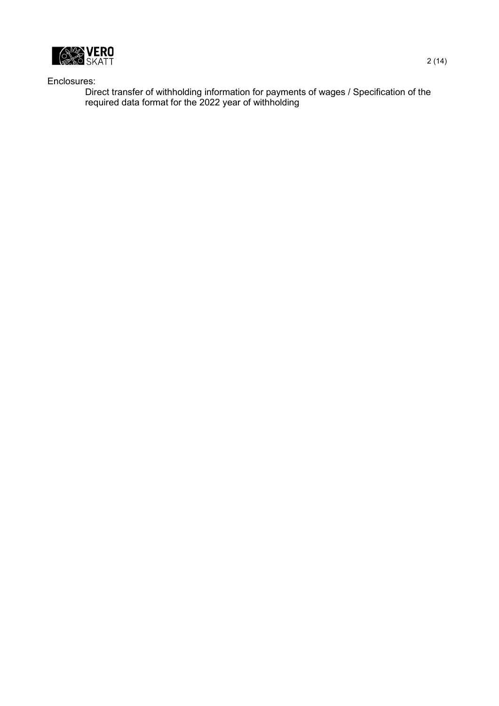

Enclosures:

Direct transfer of withholding information for payments of wages / Specification of the required data format for the 2022 year of withholding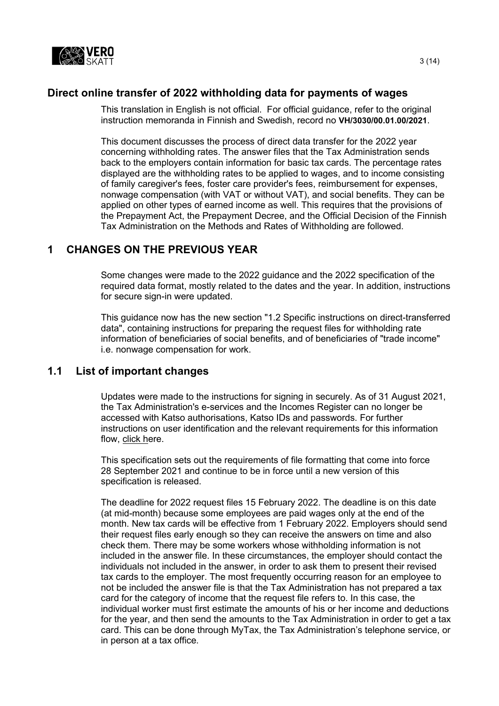

# **Direct online transfer of 2022 withholding data for payments of wages**

This translation in English is not official. For official guidance, refer to the original instruction memoranda in Finnish and Swedish, record no **VH/3030/00.01.00/2021**.

This document discusses the process of direct data transfer for the 2022 year concerning withholding rates. The answer files that the Tax Administration sends back to the employers contain information for basic tax cards. The percentage rates displayed are the withholding rates to be applied to wages, and to income consisting of family caregiver's fees, foster care provider's fees, reimbursement for expenses, nonwage compensation (with VAT or without VAT), and social benefits. They can be applied on other types of earned income as well. This requires that the provisions of the Prepayment Act, the Prepayment Decree, and the Official Decision of the Finnish Tax Administration on the Methods and Rates of Withholding are followed.

## <span id="page-2-0"></span>**1 CHANGES ON THE PREVIOUS YEAR**

Some changes were made to the 2022 guidance and the 2022 specification of the required data format, mostly related to the dates and the year. In addition, instructions for secure sign-in were updated.

This guidance now has the new section "1.2 Specific instructions on direct-transferred data", containing instructions for preparing the request files for withholding rate information of beneficiaries of social benefits, and of beneficiaries of "trade income" i.e. nonwage compensation for work.

#### <span id="page-2-1"></span>**1.1 List of important changes**

Updates were made to the instructions for signing in securely. As of 31 August 2021, the Tax Administration's e-services and the Incomes Register can no longer be accessed with Katso authorisations, Katso IDs and passwords. For further instructions on user identification and the relevant requirements for this information flow, click here.

This specification sets out the requirements of file formatting that come into force 28 September 2021 and continue to be in force until a new version of this specification is released.

The deadline for 2022 request files 15 February 2022. The deadline is on this date (at mid-month) because some employees are paid wages only at the end of the month. New tax cards will be effective from 1 February 2022. Employers should send their request files early enough so they can receive the answers on time and also check them. There may be some workers whose withholding information is not included in the answer file. In these circumstances, the employer should contact the individuals not included in the answer, in order to ask them to present their revised tax cards to the employer. The most frequently occurring reason for an employee to not be included the answer file is that the Tax Administration has not prepared a tax card for the category of income that the request file refers to. In this case, the individual worker must first estimate the amounts of his or her income and deductions for the year, and then send the amounts to the Tax Administration in order to get a tax card. This can be done through MyTax, the Tax Administration's telephone service, or in person at a tax office.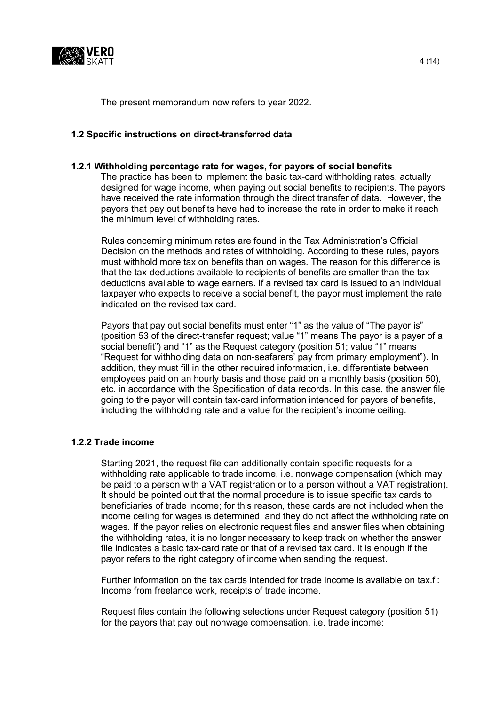

The present memorandum now refers to year 2022.

#### **1.2 Specific instructions on direct-transferred data**

#### **1.2.1 Withholding percentage rate for wages, for payors of social benefits**

The practice has been to implement the basic tax-card withholding rates, actually designed for wage income, when paying out social benefits to recipients. The payors have received the rate information through the direct transfer of data. However, the payors that pay out benefits have had to increase the rate in order to make it reach the minimum level of withholding rates.

Rules concerning minimum rates are found in the Tax Administration's Official Decision on the methods and rates of withholding. According to these rules, payors must withhold more tax on benefits than on wages. The reason for this difference is that the tax-deductions available to recipients of benefits are smaller than the taxdeductions available to wage earners. If a revised tax card is issued to an individual taxpayer who expects to receive a social benefit, the payor must implement the rate indicated on the revised tax card.

Payors that pay out social benefits must enter "1" as the value of "The payor is" (position 53 of the direct-transfer request; value "1" means The payor is a payer of a social benefit") and "1" as the Request category (position 51; value "1" means "Request for withholding data on non-seafarers' pay from primary employment"). In addition, they must fill in the other required information, i.e. differentiate between employees paid on an hourly basis and those paid on a monthly basis (position 50), etc. in accordance with the Specification of data records. In this case, the answer file going to the payor will contain tax-card information intended for payors of benefits, including the withholding rate and a value for the recipient's income ceiling.

#### **1.2.2 Trade income**

Starting 2021, the request file can additionally contain specific requests for a withholding rate applicable to trade income, i.e. nonwage compensation (which may be paid to a person with a VAT registration or to a person without a VAT registration). It should be pointed out that the normal procedure is to issue specific tax cards to beneficiaries of trade income; for this reason, these cards are not included when the income ceiling for wages is determined, and they do not affect the withholding rate on wages. If the payor relies on electronic request files and answer files when obtaining the withholding rates, it is no longer necessary to keep track on whether the answer file indicates a basic tax-card rate or that of a revised tax card. It is enough if the payor refers to the right category of income when sending the request.

Further information on the tax cards intended for trade income is available on tax.fi: Income from freelance work, receipts of trade income.

Request files contain the following selections under Request category (position 51) for the payors that pay out nonwage compensation, i.e. trade income: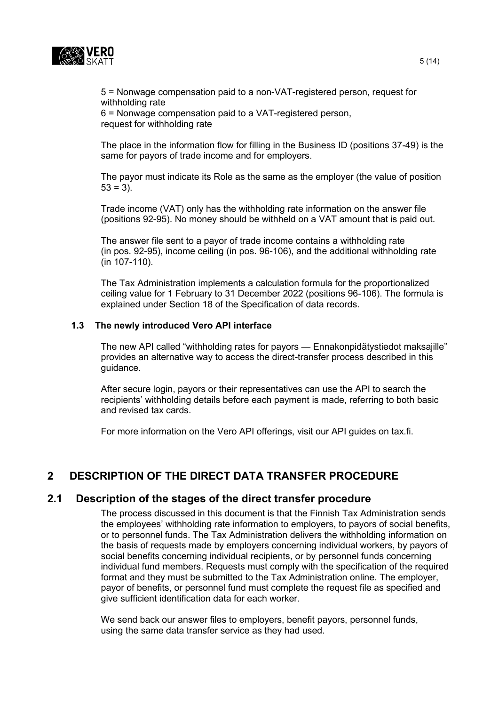

5 = Nonwage compensation paid to a non-VAT-registered person, request for withholding rate

6 = Nonwage compensation paid to a VAT-registered person, request for withholding rate

The place in the information flow for filling in the Business ID (positions 37-49) is the same for payors of trade income and for employers.

The payor must indicate its Role as the same as the employer (the value of position  $53 = 3$ ).

Trade income (VAT) only has the withholding rate information on the answer file (positions 92-95). No money should be withheld on a VAT amount that is paid out.

The answer file sent to a payor of trade income contains a withholding rate (in pos. 92-95), income ceiling (in pos. 96-106), and the additional withholding rate (in 107-110).

The Tax Administration implements a calculation formula for the proportionalized ceiling value for 1 February to 31 December 2022 (positions 96-106). The formula is explained under Section 18 of the Specification of data records.

#### **1.3 The newly introduced Vero API interface**

The new API called "withholding rates for payors — Ennakonpidätystiedot maksajille" provides an alternative way to access the direct-transfer process described in this guidance.

After secure login, payors or their representatives can use the API to search the recipients' withholding details before each payment is made, referring to both basic and revised tax cards.

For more information on the Vero API offerings, visit our API guides on tax.fi.

# <span id="page-4-0"></span>**2 DESCRIPTION OF THE DIRECT DATA TRANSFER PROCEDURE**

#### <span id="page-4-1"></span>**2.1 Description of the stages of the direct transfer procedure**

The process discussed in this document is that the Finnish Tax Administration sends the employees' withholding rate information to employers, to payors of social benefits, or to personnel funds. The Tax Administration delivers the withholding information on the basis of requests made by employers concerning individual workers, by payors of social benefits concerning individual recipients, or by personnel funds concerning individual fund members. Requests must comply with the specification of the required format and they must be submitted to the Tax Administration online. The employer, payor of benefits, or personnel fund must complete the request file as specified and give sufficient identification data for each worker.

We send back our answer files to employers, benefit payors, personnel funds, using the same data transfer service as they had used.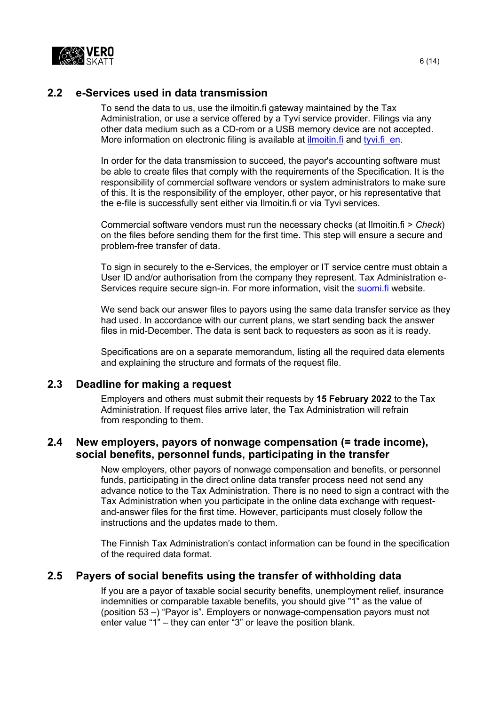

### <span id="page-5-0"></span>**2.2 e-Services used in data transmission**

To send the data to us, use the ilmoitin.fi gateway maintained by the Tax Administration, or use a service offered by a Tyvi service provider. Filings via any other data medium such as a CD-rom or a USB memory device are not accepted. More information on electronic filing is available at ilmoitin. fi and tyvi. fi en.

In order for the data transmission to succeed, the payor's accounting software must be able to create files that comply with the requirements of the Specification. It is the responsibility of commercial software vendors or system administrators to make sure of this. It is the responsibility of the employer, other payor, or his representative that the e-file is successfully sent either via Ilmoitin.fi or via Tyvi services.

Commercial software vendors must run the necessary checks (at Ilmoitin.fi > *Check*) on the files before sending them for the first time. This step will ensure a secure and problem-free transfer of data.

To sign in securely to the e-Services, the employer or IT service centre must obtain a User ID and/or authorisation from the company they represent. Tax Administration eServices require secure sign-in. For more information, visit the [suomi.fi](https://www.suomi.fi/frontpage) website.

We send back our answer files to payors using the same data transfer service as they had used. In accordance with our current plans, we start sending back the answer files in mid-December. The data is sent back to requesters as soon as it is ready.

Specifications are on a separate memorandum, listing all the required data elements and explaining the structure and formats of the request file.

#### <span id="page-5-1"></span>**2.3 Deadline for making a request**

Employers and others must submit their requests by **15 February 2022** to the Tax Administration. If request files arrive later, the Tax Administration will refrain from responding to them.

### <span id="page-5-2"></span>**2.4 New employers, payors of nonwage compensation (= trade income), social benefits, personnel funds, participating in the transfer**

New employers, other payors of nonwage compensation and benefits, or personnel funds, participating in the direct online data transfer process need not send any advance notice to the Tax Administration. There is no need to sign a contract with the Tax Administration when you participate in the online data exchange with requestand-answer files for the first time. However, participants must closely follow the instructions and the updates made to them.

The Finnish Tax Administration's contact information can be found in the specification of the required data format.

#### <span id="page-5-3"></span>**2.5 Payers of social benefits using the transfer of withholding data**

If you are a payor of taxable social security benefits, unemployment relief, insurance indemnities or comparable taxable benefits, you should give "1" as the value of (position 53 –) "Payor is". Employers or nonwage-compensation payors must not enter value "1" – they can enter "3" or leave the position blank.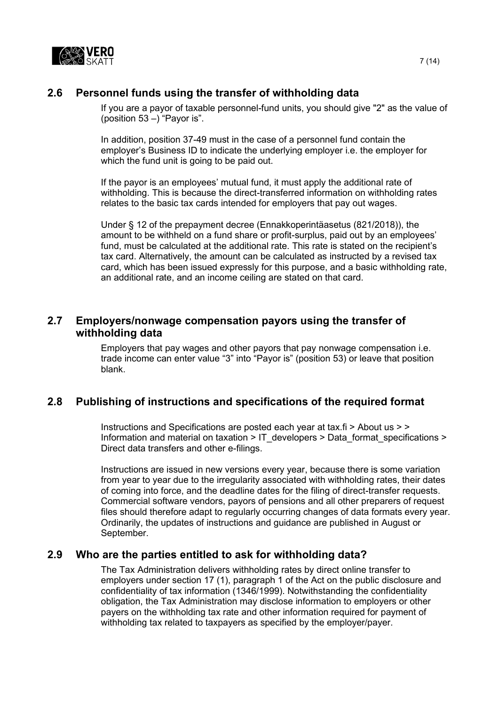

## <span id="page-6-0"></span>**2.6 Personnel funds using the transfer of withholding data**

If you are a payor of taxable personnel-fund units, you should give "2" as the value of (position  $53 -$ ) "Payor is".

In addition, position 37-49 must in the case of a personnel fund contain the employer's Business ID to indicate the underlying employer i.e. the employer for which the fund unit is going to be paid out.

If the payor is an employees' mutual fund, it must apply the additional rate of withholding. This is because the direct-transferred information on withholding rates relates to the basic tax cards intended for employers that pay out wages.

Under § 12 of the prepayment decree (Ennakkoperintäasetus (821/2018)), the amount to be withheld on a fund share or profit-surplus, paid out by an employees' fund, must be calculated at the additional rate. This rate is stated on the recipient's tax card. Alternatively, the amount can be calculated as instructed by a revised tax card, which has been issued expressly for this purpose, and a basic withholding rate, an additional rate, and an income ceiling are stated on that card.

### <span id="page-6-1"></span>**2.7 Employers/nonwage compensation payors using the transfer of withholding data**

Employers that pay wages and other payors that pay nonwage compensation i.e. trade income can enter value "3" into "Payor is" (position 53) or leave that position blank.

## <span id="page-6-2"></span>**2.8 Publishing of instructions and specifications of the required format**

Instructions and Specifications are posted each year at tax.fi > About us > > Information and material on taxation > [IT\\_developers](http://www.vero.fi/fi-FI/Syventavat_veroohjeet/Sahkoinen_asiointi/Kehittajat) > [Data\\_format\\_specifications](http://www.vero.fi/fi-FI/Syventavat_veroohjeet/Sahkoinen_asiointi/Kehittajat/Tietuekuvaukset) > [Direct data transfers and other e-filings.](https://www.vero.fi/en/About-us/information_and_material_on_taxatio/it_developer/data-format-specifications/specifications__direct_data_transfers_a/)

Instructions are issued in new versions every year, because there is some variation from year to year due to the irregularity associated with withholding rates, their dates of coming into force, and the deadline dates for the filing of direct-transfer requests. Commercial software vendors, payors of pensions and all other preparers of request files should therefore adapt to regularly occurring changes of data formats every year. Ordinarily, the updates of instructions and guidance are published in August or September.

#### <span id="page-6-3"></span>**2.9 Who are the parties entitled to ask for withholding data?**

The Tax Administration delivers withholding rates by direct online transfer to employers under section 17 (1), paragraph 1 of the Act on the public disclosure and confidentiality of tax information (1346/1999). Notwithstanding the confidentiality obligation, the Tax Administration may disclose information to employers or other payers on the withholding tax rate and other information required for payment of withholding tax related to taxpayers as specified by the employer/payer.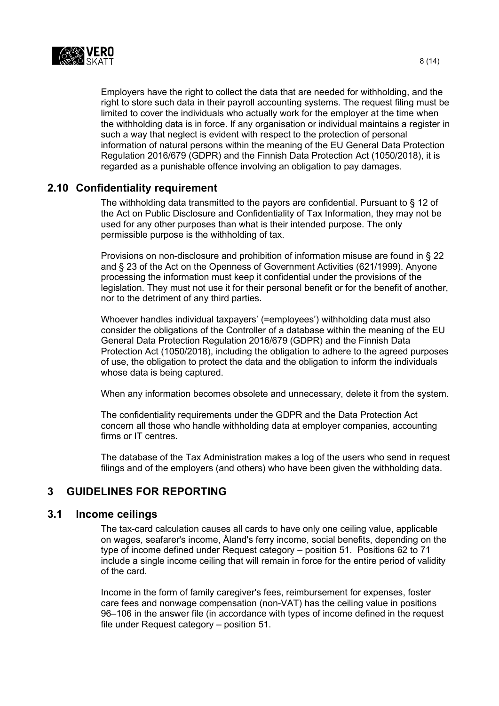

Employers have the right to collect the data that are needed for withholding, and the right to store such data in their payroll accounting systems. The request filing must be limited to cover the individuals who actually work for the employer at the time when the withholding data is in force. If any organisation or individual maintains a register in such a way that neglect is evident with respect to the protection of personal information of natural persons within the meaning of the EU General Data Protection Regulation 2016/679 (GDPR) and the Finnish Data Protection Act (1050/2018), it is regarded as a punishable offence involving an obligation to pay damages.

#### <span id="page-7-0"></span>**2.10 Confidentiality requirement**

The withholding data transmitted to the payors are confidential. Pursuant to § 12 of the Act on Public Disclosure and Confidentiality of Tax Information, they may not be used for any other purposes than what is their intended purpose. The only permissible purpose is the withholding of tax.

Provisions on non-disclosure and prohibition of information misuse are found in § 22 and § 23 of the Act on the Openness of Government Activities (621/1999). Anyone processing the information must keep it confidential under the provisions of the legislation. They must not use it for their personal benefit or for the benefit of another, nor to the detriment of any third parties.

Whoever handles individual taxpayers' (=employees') withholding data must also consider the obligations of the Controller of a database within the meaning of the EU General Data Protection Regulation 2016/679 (GDPR) and the Finnish Data Protection Act (1050/2018), including the obligation to adhere to the agreed purposes of use, the obligation to protect the data and the obligation to inform the individuals whose data is being captured.

When any information becomes obsolete and unnecessary, delete it from the system.

The confidentiality requirements under the GDPR and the Data Protection Act concern all those who handle withholding data at employer companies, accounting firms or IT centres

The database of the Tax Administration makes a log of the users who send in request filings and of the employers (and others) who have been given the withholding data.

## <span id="page-7-1"></span>**3 GUIDELINES FOR REPORTING**

#### <span id="page-7-2"></span>**3.1 Income ceilings**

The tax-card calculation causes all cards to have only one ceiling value, applicable on wages, seafarer's income, Åland's ferry income, social benefits, depending on the type of income defined under Request category – position 51. Positions 62 to 71 include a single income ceiling that will remain in force for the entire period of validity of the card.

Income in the form of family caregiver's fees, reimbursement for expenses, foster care fees and nonwage compensation (non-VAT) has the ceiling value in positions 96–106 in the answer file (in accordance with types of income defined in the request file under Request category – position 51.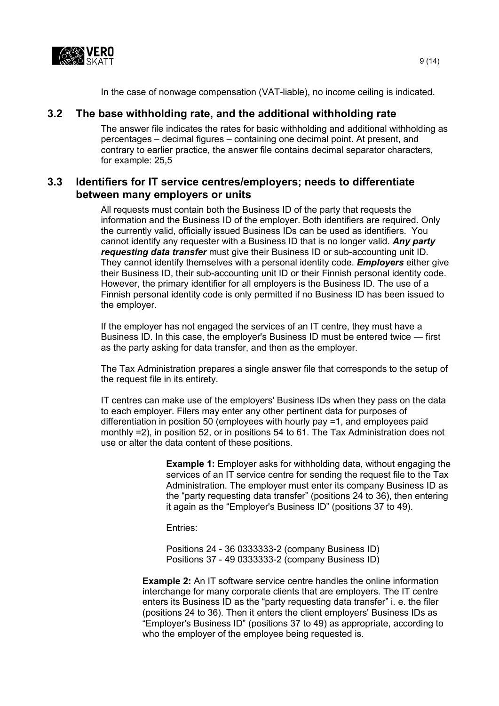

In the case of nonwage compensation (VAT-liable), no income ceiling is indicated.

# <span id="page-8-0"></span>**3.2 The base withholding rate, and the additional withholding rate**

The answer file indicates the rates for basic withholding and additional withholding as percentages – decimal figures – containing one decimal point. At present, and contrary to earlier practice, the answer file contains decimal separator characters, for example: 25,5

## <span id="page-8-1"></span>**3.3 Identifiers for IT service centres/employers; needs to differentiate between many employers or units**

All requests must contain both the Business ID of the party that requests the information and the Business ID of the employer. Both identifiers are required. Only the currently valid, officially issued Business IDs can be used as identifiers. You cannot identify any requester with a Business ID that is no longer valid. *Any party requesting data transfer* must give their Business ID or sub-accounting unit ID. They cannot identify themselves with a personal identity code. *Employers* either give their Business ID, their sub-accounting unit ID or their Finnish personal identity code. However, the primary identifier for all employers is the Business ID. The use of a Finnish personal identity code is only permitted if no Business ID has been issued to the employer.

If the employer has not engaged the services of an IT centre, they must have a Business ID. In this case, the employer's Business ID must be entered twice — first as the party asking for data transfer, and then as the employer.

The Tax Administration prepares a single answer file that corresponds to the setup of the request file in its entirety.

IT centres can make use of the employers' Business IDs when they pass on the data to each employer. Filers may enter any other pertinent data for purposes of differentiation in position 50 (employees with hourly pay =1, and employees paid monthly =2), in position 52, or in positions 54 to 61. The Tax Administration does not use or alter the data content of these positions.

> **Example 1:** Employer asks for withholding data, without engaging the services of an IT service centre for sending the request file to the Tax Administration. The employer must enter its company Business ID as the "party requesting data transfer" (positions 24 to 36), then entering it again as the "Employer's Business ID" (positions 37 to 49).

Entries:

Positions 24 - 36 0333333-2 (company Business ID) Positions 37 - 49 0333333-2 (company Business ID)

**Example 2:** An IT software service centre handles the online information interchange for many corporate clients that are employers. The IT centre enters its Business ID as the "party requesting data transfer" i. e. the filer (positions 24 to 36). Then it enters the client employers' Business IDs as "Employer's Business ID" (positions 37 to 49) as appropriate, according to who the employer of the employee being requested is.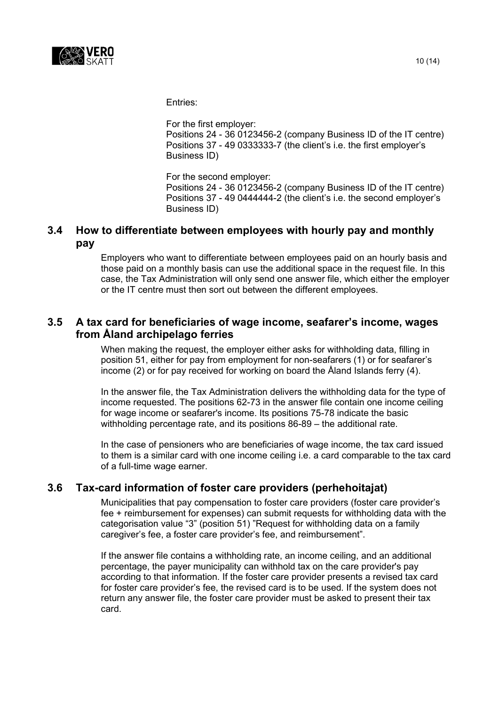

Entries:

For the first employer: Positions 24 - 36 0123456-2 (company Business ID of the IT centre) Positions 37 - 49 0333333-7 (the client's i.e. the first employer's Business ID)

For the second employer: Positions 24 - 36 0123456-2 (company Business ID of the IT centre) Positions 37 - 49 0444444-2 (the client's i.e. the second employer's Business ID)

## <span id="page-9-0"></span>**3.4 How to differentiate between employees with hourly pay and monthly pay**

Employers who want to differentiate between employees paid on an hourly basis and those paid on a monthly basis can use the additional space in the request file. In this case, the Tax Administration will only send one answer file, which either the employer or the IT centre must then sort out between the different employees.

# <span id="page-9-1"></span>**3.5 A tax card for beneficiaries of wage income, seafarer's income, wages from Åland archipelago ferries**

When making the request, the employer either asks for withholding data, filling in position 51, either for pay from employment for non-seafarers (1) or for seafarer's income (2) or for pay received for working on board the Åland Islands ferry (4).

In the answer file, the Tax Administration delivers the withholding data for the type of income requested. The positions 62-73 in the answer file contain one income ceiling for wage income or seafarer's income. Its positions 75-78 indicate the basic withholding percentage rate, and its positions 86-89 – the additional rate.

In the case of pensioners who are beneficiaries of wage income, the tax card issued to them is a similar card with one income ceiling i.e. a card comparable to the tax card of a full-time wage earner.

## <span id="page-9-2"></span>**3.6 Tax-card information of foster care providers (perhehoitajat)**

Municipalities that pay compensation to foster care providers (foster care provider's fee + reimbursement for expenses) can submit requests for withholding data with the categorisation value "3" (position 51) "Request for withholding data on a family caregiver's fee, a foster care provider's fee, and reimbursement".

If the answer file contains a withholding rate, an income ceiling, and an additional percentage, the payer municipality can withhold tax on the care provider's pay according to that information. If the foster care provider presents a revised tax card for foster care provider's fee, the revised card is to be used. If the system does not return any answer file, the foster care provider must be asked to present their tax card.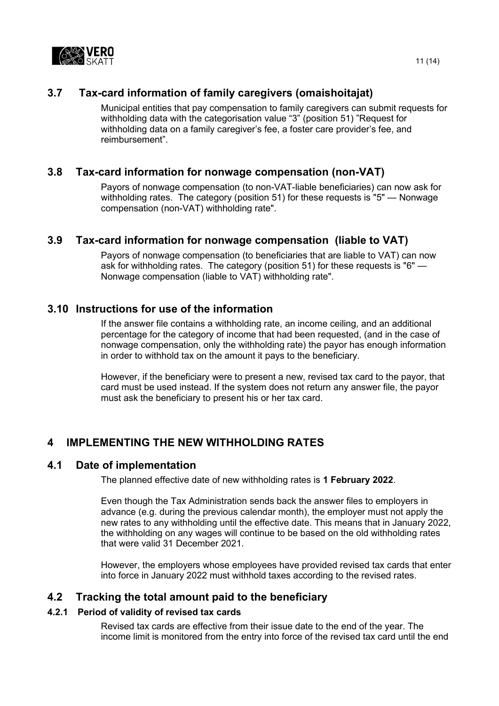

# **3.7 Tax-card information of family caregivers (omaishoitajat)**

<span id="page-10-0"></span>Municipal entities that pay compensation to family caregivers can submit requests for withholding data with the categorisation value "3" (position 51) "Request for withholding data on a family caregiver's fee, a foster care provider's fee, and reimbursement".

### <span id="page-10-1"></span>**3.8 Tax-card information for nonwage compensation (non-VAT)**

Payors of nonwage compensation (to non-VAT-liable beneficiaries) can now ask for withholding rates. The category (position 51) for these requests is "5" — Nonwage compensation (non-VAT) withholding rate".

### <span id="page-10-2"></span>**3.9 Tax-card information for nonwage compensation (liable to VAT)**

Payors of nonwage compensation (to beneficiaries that are liable to VAT) can now ask for withholding rates. The category (position 51) for these requests is "6" — Nonwage compensation (liable to VAT) withholding rate".

## <span id="page-10-3"></span>**3.10 Instructions for use of the information**

If the answer file contains a withholding rate, an income ceiling, and an additional percentage for the category of income that had been requested, (and in the case of nonwage compensation, only the withholding rate) the payor has enough information in order to withhold tax on the amount it pays to the beneficiary.

However, if the beneficiary were to present a new, revised tax card to the payor, that card must be used instead. If the system does not return any answer file, the payor must ask the beneficiary to present his or her tax card.

## <span id="page-10-4"></span>**4 IMPLEMENTING THE NEW WITHHOLDING RATES**

#### <span id="page-10-5"></span>**4.1 Date of implementation**

The planned effective date of new withholding rates is **1 February 2022**.

Even though the Tax Administration sends back the answer files to employers in advance (e.g. during the previous calendar month), the employer must not apply the new rates to any withholding until the effective date. This means that in January 2022, the withholding on any wages will continue to be based on the old withholding rates that were valid 31 December 2021.

However, the employers whose employees have provided revised tax cards that enter into force in January 2022 must withhold taxes according to the revised rates.

#### <span id="page-10-6"></span>**4.2 Tracking the total amount paid to the beneficiary**

#### <span id="page-10-7"></span>**4.2.1 Period of validity of revised tax cards**

Revised tax cards are effective from their issue date to the end of the year. The income limit is monitored from the entry into force of the revised tax card until the end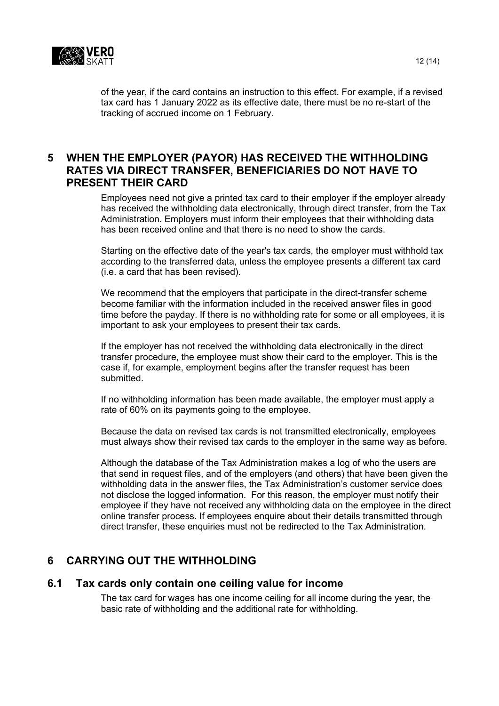

of the year, if the card contains an instruction to this effect. For example, if a revised tax card has 1 January 2022 as its effective date, there must be no re-start of the tracking of accrued income on 1 February.

### <span id="page-11-0"></span>**5 WHEN THE EMPLOYER (PAYOR) HAS RECEIVED THE WITHHOLDING RATES VIA DIRECT TRANSFER, BENEFICIARIES DO NOT HAVE TO PRESENT THEIR CARD**

Employees need not give a printed tax card to their employer if the employer already has received the withholding data electronically, through direct transfer, from the Tax Administration. Employers must inform their employees that their withholding data has been received online and that there is no need to show the cards.

Starting on the effective date of the year's tax cards, the employer must withhold tax according to the transferred data, unless the employee presents a different tax card (i.e. a card that has been revised).

We recommend that the employers that participate in the direct-transfer scheme become familiar with the information included in the received answer files in good time before the payday. If there is no withholding rate for some or all employees, it is important to ask your employees to present their tax cards.

If the employer has not received the withholding data electronically in the direct transfer procedure, the employee must show their card to the employer. This is the case if, for example, employment begins after the transfer request has been submitted.

If no withholding information has been made available, the employer must apply a rate of 60% on its payments going to the employee.

Because the data on revised tax cards is not transmitted electronically, employees must always show their revised tax cards to the employer in the same way as before.

Although the database of the Tax Administration makes a log of who the users are that send in request files, and of the employers (and others) that have been given the withholding data in the answer files, the Tax Administration's customer service does not disclose the logged information. For this reason, the employer must notify their employee if they have not received any withholding data on the employee in the direct online transfer process. If employees enquire about their details transmitted through direct transfer, these enquiries must not be redirected to the Tax Administration.

## <span id="page-11-1"></span>**6 CARRYING OUT THE WITHHOLDING**

#### <span id="page-11-2"></span>**6.1 Tax cards only contain one ceiling value for income**

The tax card for wages has one income ceiling for all income during the year, the basic rate of withholding and the additional rate for withholding.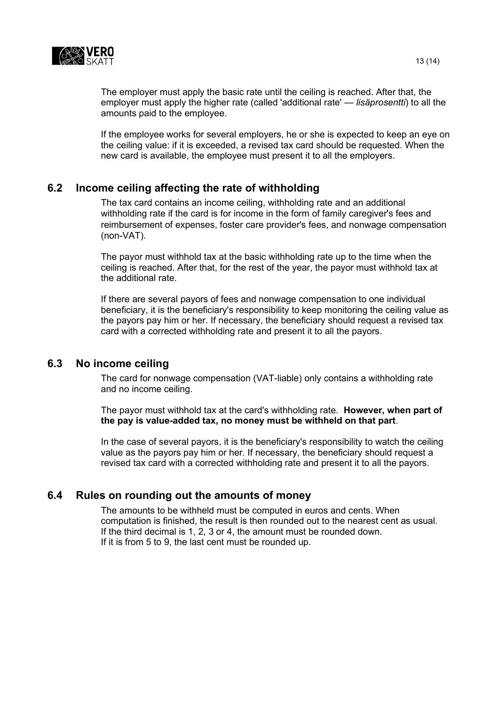

The employer must apply the basic rate until the ceiling is reached. After that, the employer must apply the higher rate (called 'additional rate' — *lisäprosentti*) to all the amounts paid to the employee.

If the employee works for several employers, he or she is expected to keep an eye on the ceiling value: if it is exceeded, a revised tax card should be requested. When the new card is available, the employee must present it to all the employers.

### <span id="page-12-0"></span>**6.2 Income ceiling affecting the rate of withholding**

The tax card contains an income ceiling, withholding rate and an additional withholding rate if the card is for income in the form of family caregiver's fees and reimbursement of expenses, foster care provider's fees, and nonwage compensation (non-VAT).

The payor must withhold tax at the basic withholding rate up to the time when the ceiling is reached. After that, for the rest of the year, the payor must withhold tax at the additional rate.

If there are several payors of fees and nonwage compensation to one individual beneficiary, it is the beneficiary's responsibility to keep monitoring the ceiling value as the payors pay him or her. If necessary, the beneficiary should request a revised tax card with a corrected withholding rate and present it to all the payors.

#### <span id="page-12-1"></span>**6.3 No income ceiling**

The card for nonwage compensation (VAT-liable) only contains a withholding rate and no income ceiling.

The payor must withhold tax at the card's withholding rate. **However, when part of the pay is value-added tax, no money must be withheld on that part**.

In the case of several payors, it is the beneficiary's responsibility to watch the ceiling value as the payors pay him or her. If necessary, the beneficiary should request a revised tax card with a corrected withholding rate and present it to all the payors.

#### <span id="page-12-2"></span>**6.4 Rules on rounding out the amounts of money**

The amounts to be withheld must be computed in euros and cents. When computation is finished, the result is then rounded out to the nearest cent as usual. If the third decimal is 1, 2, 3 or 4, the amount must be rounded down. If it is from 5 to 9, the last cent must be rounded up.